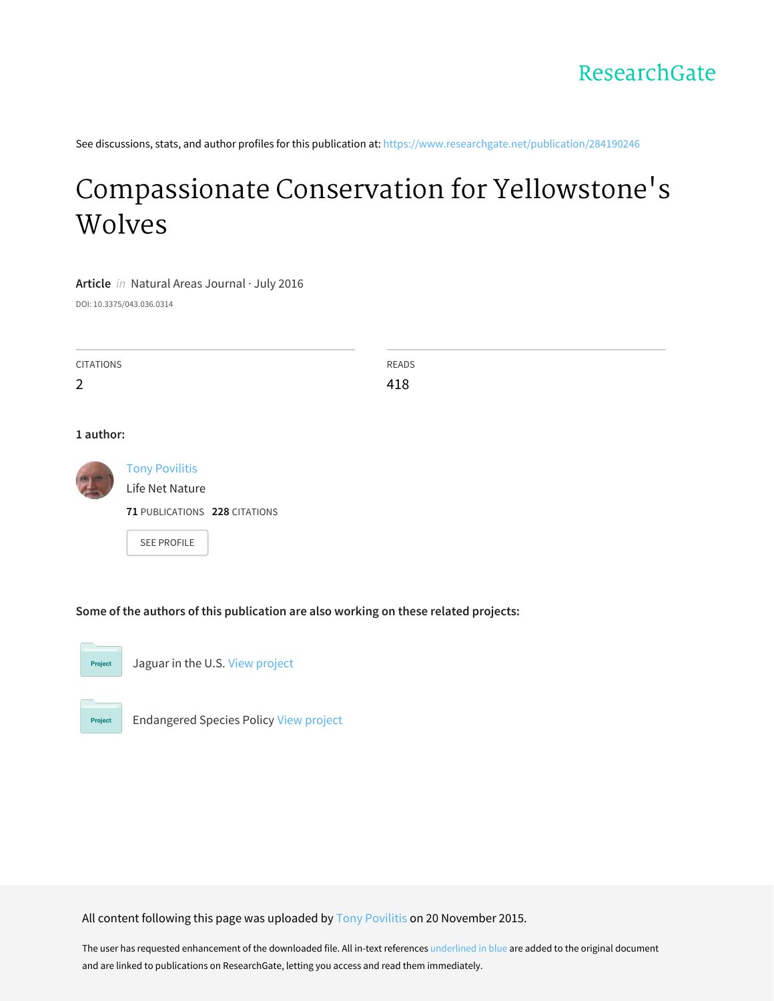See discussions, stats, and author profiles for this publication at: [https://www.researchgate.net/publication/284190246](https://www.researchgate.net/publication/284190246_Compassionate_Conservation_for_Yellowstone%27s_Wolves?enrichId=rgreq-18731205485072df47b86e6c85b5153b-XXX&enrichSource=Y292ZXJQYWdlOzI4NDE5MDI0NjtBUzoyOTgwMDUwOTQ3ODA5MzRAMTQ0ODA2MTM1OTQyOA%3D%3D&el=1_x_2&_esc=publicationCoverPdf)

# [Compassionate](https://www.researchgate.net/publication/284190246_Compassionate_Conservation_for_Yellowstone%27s_Wolves?enrichId=rgreq-18731205485072df47b86e6c85b5153b-XXX&enrichSource=Y292ZXJQYWdlOzI4NDE5MDI0NjtBUzoyOTgwMDUwOTQ3ODA5MzRAMTQ0ODA2MTM1OTQyOA%3D%3D&el=1_x_3&_esc=publicationCoverPdf) Conservation for Yellowstone's Wolves

**Article** in Natural Areas Journal · July 2016

DOI: 10.3375/043.036.0314

| <b>CITATIONS</b> | <b>READS</b> |
|------------------|--------------|
| $\overline{2}$   | 418          |
|                  |              |

#### **1 author:**



Tony [Povilitis](https://www.researchgate.net/profile/Tony_Povilitis?enrichId=rgreq-18731205485072df47b86e6c85b5153b-XXX&enrichSource=Y292ZXJQYWdlOzI4NDE5MDI0NjtBUzoyOTgwMDUwOTQ3ODA5MzRAMTQ0ODA2MTM1OTQyOA%3D%3D&el=1_x_5&_esc=publicationCoverPdf) Life Net Nature **71** PUBLICATIONS **228** CITATIONS SEE [PROFILE](https://www.researchgate.net/profile/Tony_Povilitis?enrichId=rgreq-18731205485072df47b86e6c85b5153b-XXX&enrichSource=Y292ZXJQYWdlOzI4NDE5MDI0NjtBUzoyOTgwMDUwOTQ3ODA5MzRAMTQ0ODA2MTM1OTQyOA%3D%3D&el=1_x_7&_esc=publicationCoverPdf)

**Some of the authors of this publication are also working on these related projects:**



Jaguar in the U.S. View [project](https://www.researchgate.net/project/Jaguar-in-the-US?enrichId=rgreq-18731205485072df47b86e6c85b5153b-XXX&enrichSource=Y292ZXJQYWdlOzI4NDE5MDI0NjtBUzoyOTgwMDUwOTQ3ODA5MzRAMTQ0ODA2MTM1OTQyOA%3D%3D&el=1_x_9&_esc=publicationCoverPdf)



Endangered Species Policy View [project](https://www.researchgate.net/project/Endangered-Species-Policy?enrichId=rgreq-18731205485072df47b86e6c85b5153b-XXX&enrichSource=Y292ZXJQYWdlOzI4NDE5MDI0NjtBUzoyOTgwMDUwOTQ3ODA5MzRAMTQ0ODA2MTM1OTQyOA%3D%3D&el=1_x_9&_esc=publicationCoverPdf)

All content following this page was uploaded by Tony [Povilitis](https://www.researchgate.net/profile/Tony_Povilitis?enrichId=rgreq-18731205485072df47b86e6c85b5153b-XXX&enrichSource=Y292ZXJQYWdlOzI4NDE5MDI0NjtBUzoyOTgwMDUwOTQ3ODA5MzRAMTQ0ODA2MTM1OTQyOA%3D%3D&el=1_x_10&_esc=publicationCoverPdf) on 20 November 2015.

The user has requested enhancement of the downloaded file. All in-text references underlined in blue are added to the original document and are linked to publications on ResearchGate, letting you access and read them immediately.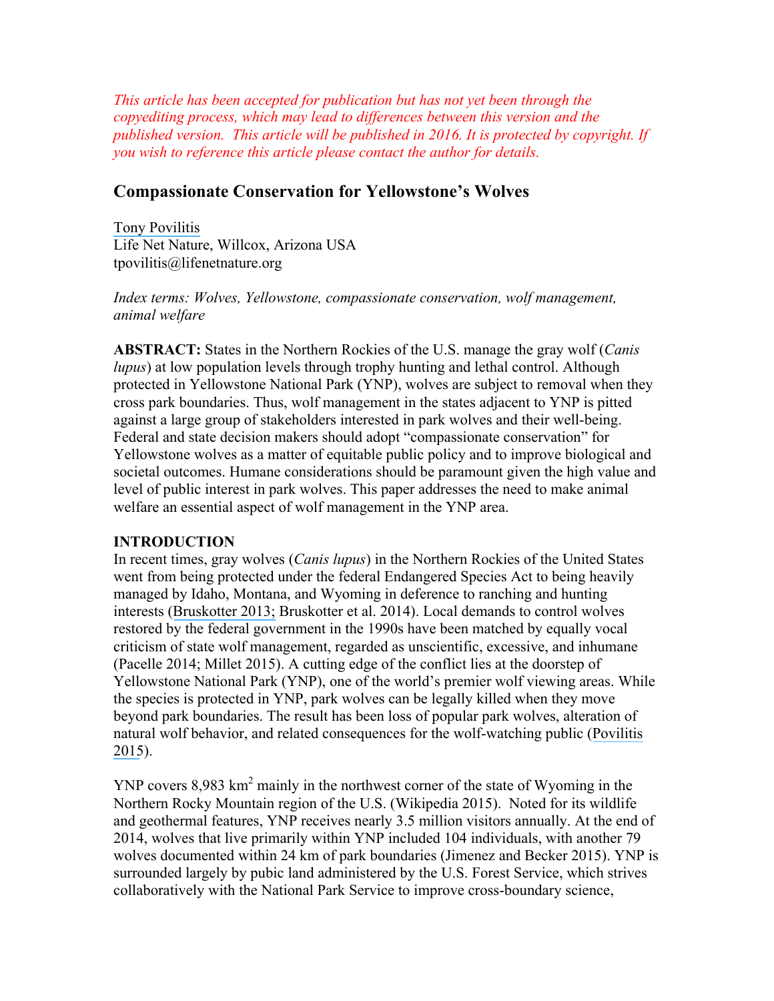*This article has been accepted for publication but has not yet been through the copyediting process, which may lead to differences between this version and the published version. This article will be published in 2016. It is protected by copyright. If you wish to reference this article please contact the author for details.*

# **Compassionate Conservation for Yellowstone's Wolves**

[Tony Povilitis](https://www.researchgate.net/profile/Tony_Povilitis?el=1_x_100&enrichId=rgreq-18731205485072df47b86e6c85b5153b-XXX&enrichSource=Y292ZXJQYWdlOzI4NDE5MDI0NjtBUzoyOTgwMDUwOTQ3ODA5MzRAMTQ0ODA2MTM1OTQyOA==) Life Net Nature, Willcox, Arizona USA tpovilitis@lifenetnature.org

*Index terms: Wolves, Yellowstone, compassionate conservation, wolf management, animal welfare*

**ABSTRACT:** States in the Northern Rockies of the U.S. manage the gray wolf (*Canis lupus*) at low population levels through trophy hunting and lethal control. Although protected in Yellowstone National Park (YNP), wolves are subject to removal when they cross park boundaries. Thus, wolf management in the states adjacent to YNP is pitted against a large group of stakeholders interested in park wolves and their well-being. Federal and state decision makers should adopt "compassionate conservation" for Yellowstone wolves as a matter of equitable public policy and to improve biological and societal outcomes. Humane considerations should be paramount given the high value and level of public interest in park wolves. This paper addresses the need to make animal welfare an essential aspect of wolf management in the YNP area.

#### **INTRODUCTION**

In recent times, gray wolves (*Canis lupus*) in the Northern Rockies of the United States went from being protected under the federal Endangered Species Act to being heavily managed by Idaho, Montana, and Wyoming in deference to ranching and hunting interests ([Bruskotter 2013;](https://www.researchgate.net/publication/249838088_The_Predator_Pendulum_Revisited_Social_Conflict_over_Wolves_and_Their_Management_in_the_Western_United_States?el=1_x_8&enrichId=rgreq-18731205485072df47b86e6c85b5153b-XXX&enrichSource=Y292ZXJQYWdlOzI4NDE5MDI0NjtBUzoyOTgwMDUwOTQ3ODA5MzRAMTQ0ODA2MTM1OTQyOA==) Bruskotter et al. 2014). Local demands to control wolves restored by the federal government in the 1990s have been matched by equally vocal criticism of state wolf management, regarded as unscientific, excessive, and inhumane (Pacelle 2014; Millet 2015). A cutting edge of the conflict lies at the doorstep of Yellowstone National Park (YNP), one of the world's premier wolf viewing areas. While the species is protected in YNP, park wolves can be legally killed when they move beyond park boundaries. The result has been loss of popular park wolves, alteration of natural wolf behavior, and related consequences for the wolf-watching public ([Povilitis](https://www.researchgate.net/publication/269411735_Preserving_a_Natural_Wolf_Population_in_Yellowstone_National_Park_USA?el=1_x_8&enrichId=rgreq-18731205485072df47b86e6c85b5153b-XXX&enrichSource=Y292ZXJQYWdlOzI4NDE5MDI0NjtBUzoyOTgwMDUwOTQ3ODA5MzRAMTQ0ODA2MTM1OTQyOA==)  [2015](https://www.researchgate.net/publication/269411735_Preserving_a_Natural_Wolf_Population_in_Yellowstone_National_Park_USA?el=1_x_8&enrichId=rgreq-18731205485072df47b86e6c85b5153b-XXX&enrichSource=Y292ZXJQYWdlOzI4NDE5MDI0NjtBUzoyOTgwMDUwOTQ3ODA5MzRAMTQ0ODA2MTM1OTQyOA==)).

YNP covers 8,983 km<sup>2</sup> mainly in the northwest corner of the state of Wyoming in the Northern Rocky Mountain region of the U.S. (Wikipedia 2015). Noted for its wildlife and geothermal features, YNP receives nearly 3.5 million visitors annually. At the end of 2014, wolves that live primarily within YNP included 104 individuals, with another 79 wolves documented within 24 km of park boundaries (Jimenez and Becker 2015). YNP is surrounded largely by pubic land administered by the U.S. Forest Service, which strives collaboratively with the National Park Service to improve cross-boundary science,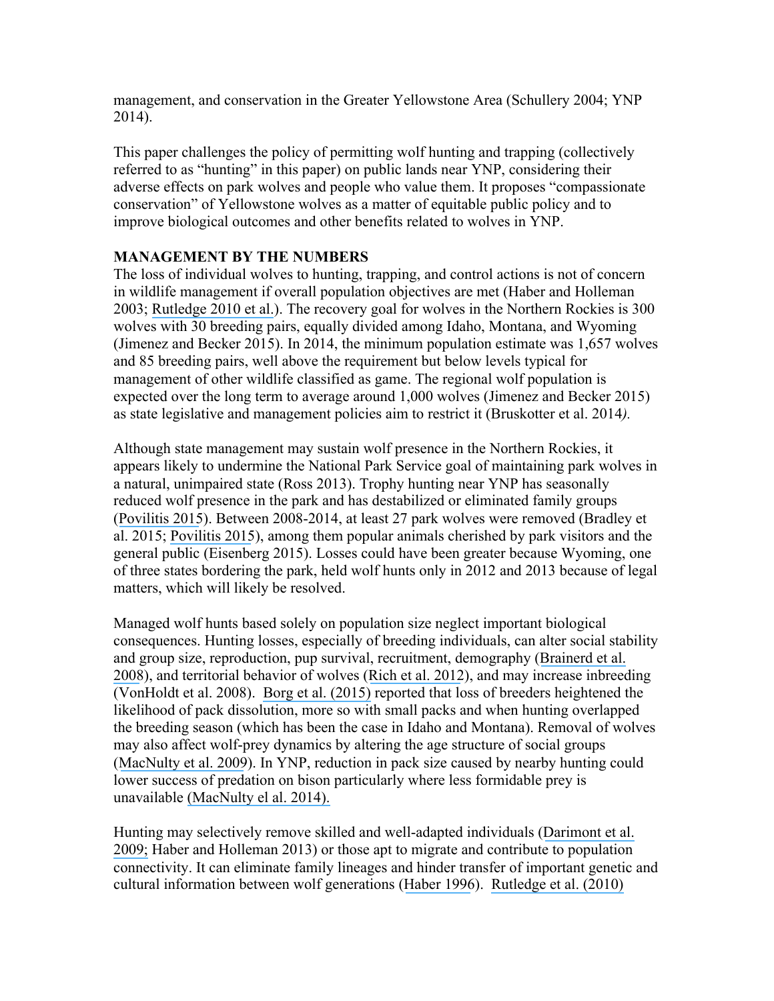management, and conservation in the Greater Yellowstone Area (Schullery 2004; YNP 2014).

This paper challenges the policy of permitting wolf hunting and trapping (collectively referred to as "hunting" in this paper) on public lands near YNP, considering their adverse effects on park wolves and people who value them. It proposes "compassionate conservation" of Yellowstone wolves as a matter of equitable public policy and to improve biological outcomes and other benefits related to wolves in YNP.

### **MANAGEMENT BY THE NUMBERS**

The loss of individual wolves to hunting, trapping, and control actions is not of concern in wildlife management if overall population objectives are met (Haber and Holleman 2003; [Rutledge 2010 et al.](https://www.researchgate.net/publication/222046620_Protection_from_harvesting_restores_the_natural_social_structure_of_eastern_wolf_packs?el=1_x_8&enrichId=rgreq-18731205485072df47b86e6c85b5153b-XXX&enrichSource=Y292ZXJQYWdlOzI4NDE5MDI0NjtBUzoyOTgwMDUwOTQ3ODA5MzRAMTQ0ODA2MTM1OTQyOA==)). The recovery goal for wolves in the Northern Rockies is 300 wolves with 30 breeding pairs, equally divided among Idaho, Montana, and Wyoming (Jimenez and Becker 2015). In 2014, the minimum population estimate was 1,657 wolves and 85 breeding pairs, well above the requirement but below levels typical for management of other wildlife classified as game. The regional wolf population is expected over the long term to average around 1,000 wolves (Jimenez and Becker 2015) as state legislative and management policies aim to restrict it (Bruskotter et al. 2014*).*

Although state management may sustain wolf presence in the Northern Rockies, it appears likely to undermine the National Park Service goal of maintaining park wolves in a natural, unimpaired state (Ross 2013). Trophy hunting near YNP has seasonally reduced wolf presence in the park and has destabilized or eliminated family groups ([Povilitis 2015](https://www.researchgate.net/publication/269411735_Preserving_a_Natural_Wolf_Population_in_Yellowstone_National_Park_USA?el=1_x_8&enrichId=rgreq-18731205485072df47b86e6c85b5153b-XXX&enrichSource=Y292ZXJQYWdlOzI4NDE5MDI0NjtBUzoyOTgwMDUwOTQ3ODA5MzRAMTQ0ODA2MTM1OTQyOA==)). Between 2008-2014, at least 27 park wolves were removed (Bradley et al. 2015; [Povilitis 2015](https://www.researchgate.net/publication/269411735_Preserving_a_Natural_Wolf_Population_in_Yellowstone_National_Park_USA?el=1_x_8&enrichId=rgreq-18731205485072df47b86e6c85b5153b-XXX&enrichSource=Y292ZXJQYWdlOzI4NDE5MDI0NjtBUzoyOTgwMDUwOTQ3ODA5MzRAMTQ0ODA2MTM1OTQyOA==)), among them popular animals cherished by park visitors and the general public (Eisenberg 2015). Losses could have been greater because Wyoming, one of three states bordering the park, held wolf hunts only in 2012 and 2013 because of legal matters, which will likely be resolved.

Managed wolf hunts based solely on population size neglect important biological consequences. Hunting losses, especially of breeding individuals, can alter social stability and group size, reproduction, pup survival, recruitment, demography ([Brainerd et al.](https://www.researchgate.net/publication/227823841_The_Effects_of_Breeder_Loss_on_Wolves?el=1_x_8&enrichId=rgreq-18731205485072df47b86e6c85b5153b-XXX&enrichSource=Y292ZXJQYWdlOzI4NDE5MDI0NjtBUzoyOTgwMDUwOTQ3ODA5MzRAMTQ0ODA2MTM1OTQyOA==) [2008](https://www.researchgate.net/publication/227823841_The_Effects_of_Breeder_Loss_on_Wolves?el=1_x_8&enrichId=rgreq-18731205485072df47b86e6c85b5153b-XXX&enrichSource=Y292ZXJQYWdlOzI4NDE5MDI0NjtBUzoyOTgwMDUwOTQ3ODA5MzRAMTQ0ODA2MTM1OTQyOA==)), and territorial behavior of wolves ([Rich et al. 2012](https://www.researchgate.net/publication/259928270_Anthropogenic_mortality_intraspecific_competition_and_prey_availability_influence_territory_sizes_of_wolves_in_Montana?el=1_x_8&enrichId=rgreq-18731205485072df47b86e6c85b5153b-XXX&enrichSource=Y292ZXJQYWdlOzI4NDE5MDI0NjtBUzoyOTgwMDUwOTQ3ODA5MzRAMTQ0ODA2MTM1OTQyOA==)), and may increase inbreeding (VonHoldt et al. 2008). [Borg et al.](https://www.researchgate.net/publication/263701644_Impacts_of_breeder_loss_on_social_structure_reproduction_and_population_growth_in_a_social_canid?el=1_x_8&enrichId=rgreq-18731205485072df47b86e6c85b5153b-XXX&enrichSource=Y292ZXJQYWdlOzI4NDE5MDI0NjtBUzoyOTgwMDUwOTQ3ODA5MzRAMTQ0ODA2MTM1OTQyOA==) (2015) reported that loss of breeders heightened the likelihood of pack dissolution, more so with small packs and when hunting overlapped the breeding season (which has been the case in Idaho and Montana). Removal of wolves may also affect wolf-prey dynamics by altering the age structure of social groups ([MacNulty et al. 2009](https://www.researchgate.net/publication/26837658_Predatory_senescence_in_ageing_wolves?el=1_x_8&enrichId=rgreq-18731205485072df47b86e6c85b5153b-XXX&enrichSource=Y292ZXJQYWdlOzI4NDE5MDI0NjtBUzoyOTgwMDUwOTQ3ODA5MzRAMTQ0ODA2MTM1OTQyOA==)). In YNP, reduction in pack size caused by nearby hunting could lower success of predation on bison particularly where less formidable prey is unavailable [\(MacNulty el al. 2014\).](https://www.researchgate.net/publication/268229126_Influence_of_Group_Size_on_the_Success_of_Wolves_Hunting_Bison?el=1_x_8&enrichId=rgreq-18731205485072df47b86e6c85b5153b-XXX&enrichSource=Y292ZXJQYWdlOzI4NDE5MDI0NjtBUzoyOTgwMDUwOTQ3ODA5MzRAMTQ0ODA2MTM1OTQyOA==)

Hunting may selectively remove skilled and well-adapted individuals ([Darimont et al.](https://www.researchgate.net/publication/23782652_Human_predators_outpace_other_agents_of_trait_change?el=1_x_8&enrichId=rgreq-18731205485072df47b86e6c85b5153b-XXX&enrichSource=Y292ZXJQYWdlOzI4NDE5MDI0NjtBUzoyOTgwMDUwOTQ3ODA5MzRAMTQ0ODA2MTM1OTQyOA==) [2009;](https://www.researchgate.net/publication/23782652_Human_predators_outpace_other_agents_of_trait_change?el=1_x_8&enrichId=rgreq-18731205485072df47b86e6c85b5153b-XXX&enrichSource=Y292ZXJQYWdlOzI4NDE5MDI0NjtBUzoyOTgwMDUwOTQ3ODA5MzRAMTQ0ODA2MTM1OTQyOA==) Haber and Holleman 2013) or those apt to migrate and contribute to population connectivity. It can eliminate family lineages and hinder transfer of important genetic and cultural information between wolf generations ([Haber 1996](https://www.researchgate.net/publication/227687063_Biological_Conservation_and_Ethical_Implications_of_Exploiting_and_Controlling_Wolves?el=1_x_8&enrichId=rgreq-18731205485072df47b86e6c85b5153b-XXX&enrichSource=Y292ZXJQYWdlOzI4NDE5MDI0NjtBUzoyOTgwMDUwOTQ3ODA5MzRAMTQ0ODA2MTM1OTQyOA==)). [Rutledge et al. \(2010\)](https://www.researchgate.net/publication/222046620_Protection_from_harvesting_restores_the_natural_social_structure_of_eastern_wolf_packs?el=1_x_8&enrichId=rgreq-18731205485072df47b86e6c85b5153b-XXX&enrichSource=Y292ZXJQYWdlOzI4NDE5MDI0NjtBUzoyOTgwMDUwOTQ3ODA5MzRAMTQ0ODA2MTM1OTQyOA==)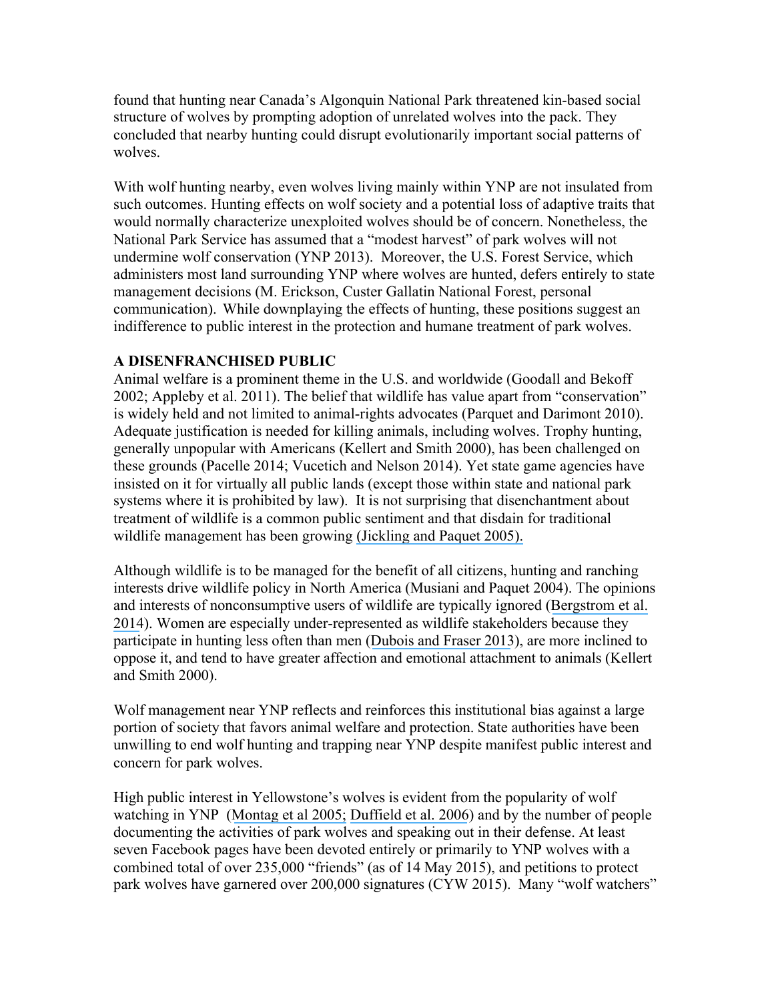found that hunting near Canada's Algonquin National Park threatened kin-based social structure of wolves by prompting adoption of unrelated wolves into the pack. They concluded that nearby hunting could disrupt evolutionarily important social patterns of wolves.

With wolf hunting nearby, even wolves living mainly within YNP are not insulated from such outcomes. Hunting effects on wolf society and a potential loss of adaptive traits that would normally characterize unexploited wolves should be of concern. Nonetheless, the National Park Service has assumed that a "modest harvest" of park wolves will not undermine wolf conservation (YNP 2013). Moreover, the U.S. Forest Service, which administers most land surrounding YNP where wolves are hunted, defers entirely to state management decisions (M. Erickson, Custer Gallatin National Forest, personal communication). While downplaying the effects of hunting, these positions suggest an indifference to public interest in the protection and humane treatment of park wolves.

#### **A DISENFRANCHISED PUBLIC**

Animal welfare is a prominent theme in the U.S. and worldwide (Goodall and Bekoff 2002; Appleby et al. 2011). The belief that wildlife has value apart from "conservation" is widely held and not limited to animal-rights advocates (Parquet and Darimont 2010). Adequate justification is needed for killing animals, including wolves. Trophy hunting, generally unpopular with Americans (Kellert and Smith 2000), has been challenged on these grounds (Pacelle 2014; Vucetich and Nelson 2014). Yet state game agencies have insisted on it for virtually all public lands (except those within state and national park systems where it is prohibited by law). It is not surprising that disenchantment about treatment of wildlife is a common public sentiment and that disdain for traditional wildlife management has been growing [\(Jickling and Paquet 2005\).](https://www.researchgate.net/publication/228423308_Wolf_stories_Reflections_on_science_ethics_and_epistemology?el=1_x_8&enrichId=rgreq-18731205485072df47b86e6c85b5153b-XXX&enrichSource=Y292ZXJQYWdlOzI4NDE5MDI0NjtBUzoyOTgwMDUwOTQ3ODA5MzRAMTQ0ODA2MTM1OTQyOA==)

Although wildlife is to be managed for the benefit of all citizens, hunting and ranching interests drive wildlife policy in North America (Musiani and Paquet 2004). The opinions and interests of nonconsumptive users of wildlife are typically ignored ([Bergstrom](https://www.researchgate.net/publication/249007704_License_to_Kill_Reforming_Federal_Wildlife_Control_to_Restore_Biodiversity_and_Ecosystem_Function?el=1_x_8&enrichId=rgreq-18731205485072df47b86e6c85b5153b-XXX&enrichSource=Y292ZXJQYWdlOzI4NDE5MDI0NjtBUzoyOTgwMDUwOTQ3ODA5MzRAMTQ0ODA2MTM1OTQyOA==) et al. [2014](https://www.researchgate.net/publication/249007704_License_to_Kill_Reforming_Federal_Wildlife_Control_to_Restore_Biodiversity_and_Ecosystem_Function?el=1_x_8&enrichId=rgreq-18731205485072df47b86e6c85b5153b-XXX&enrichSource=Y292ZXJQYWdlOzI4NDE5MDI0NjtBUzoyOTgwMDUwOTQ3ODA5MzRAMTQ0ODA2MTM1OTQyOA==)). Women are especially under-represented as wildlife stakeholders because they participate in hunting less often than men ([Dubois and Fraser 2013](https://www.researchgate.net/publication/263241994_Rating_harms_to_wildlife_A_survey_showing_convergence_between_conservation_and_animal_welfare_views?el=1_x_8&enrichId=rgreq-18731205485072df47b86e6c85b5153b-XXX&enrichSource=Y292ZXJQYWdlOzI4NDE5MDI0NjtBUzoyOTgwMDUwOTQ3ODA5MzRAMTQ0ODA2MTM1OTQyOA==)), are more inclined to oppose it, and tend to have greater affection and emotional attachment to animals (Kellert and Smith 2000).

Wolf management near YNP reflects and reinforces this institutional bias against a large portion of society that favors animal welfare and protection. State authorities have been unwilling to end wolf hunting and trapping near YNP despite manifest public interest and concern for park wolves.

High public interest in Yellowstone's wolves is evident from the popularity of wolf watching in YNP ([Montag et al 2005;](https://www.researchgate.net/publication/249007633_The_Wolf_Viewing_Experience_in_the_Lamar_Valley_of_Yellowstone_National_Park?el=1_x_8&enrichId=rgreq-18731205485072df47b86e6c85b5153b-XXX&enrichSource=Y292ZXJQYWdlOzI4NDE5MDI0NjtBUzoyOTgwMDUwOTQ3ODA5MzRAMTQ0ODA2MTM1OTQyOA==) [Duffield et al. 2006](https://www.researchgate.net/publication/242507909_Wolves_and_People_in_Yellowstone_Impacts_on_the_Regional_Economy?el=1_x_8&enrichId=rgreq-18731205485072df47b86e6c85b5153b-XXX&enrichSource=Y292ZXJQYWdlOzI4NDE5MDI0NjtBUzoyOTgwMDUwOTQ3ODA5MzRAMTQ0ODA2MTM1OTQyOA==)) and by the number of people documenting the activities of park wolves and speaking out in their defense. At least seven Facebook pages have been devoted entirely or primarily to YNP wolves with a combined total of over 235,000 "friends" (as of 14 May 2015), and petitions to protect park wolves have garnered over 200,000 signatures (CYW 2015). Many "wolf watchers"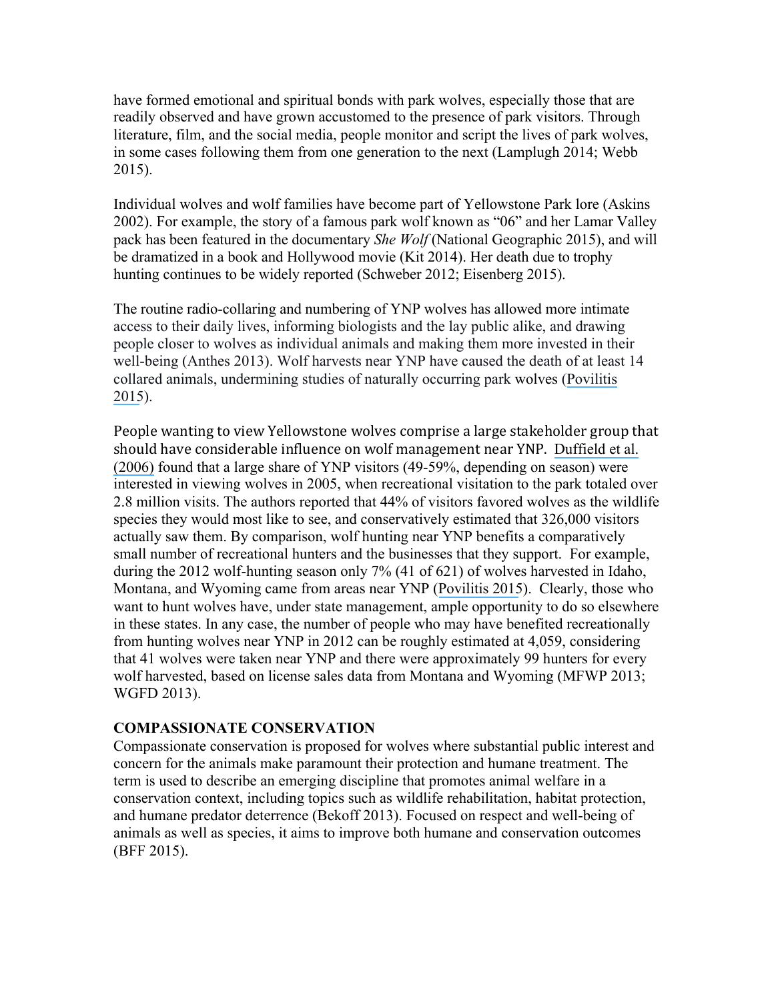have formed emotional and spiritual bonds with park wolves, especially those that are readily observed and have grown accustomed to the presence of park visitors. Through literature, film, and the social media, people monitor and script the lives of park wolves, in some cases following them from one generation to the next (Lamplugh 2014; Webb 2015).

Individual wolves and wolf families have become part of Yellowstone Park lore (Askins 2002). For example, the story of a famous park wolf known as "06" and her Lamar Valley pack has been featured in the documentary *She Wolf* (National Geographic 2015), and will be dramatized in a book and Hollywood movie (Kit 2014). Her death due to trophy hunting continues to be widely reported (Schweber 2012; Eisenberg 2015).

The routine radio-collaring and numbering of YNP wolves has allowed more intimate access to their daily lives, informing biologists and the lay public alike, and drawing people closer to wolves as individual animals and making them more invested in their well-being (Anthes 2013). Wolf harvests near YNP have caused the death of at least 14 collared animals, undermining studies of naturally occurring park wolves ([Povilitis](https://www.researchgate.net/publication/269411735_Preserving_a_Natural_Wolf_Population_in_Yellowstone_National_Park_USA?el=1_x_8&enrichId=rgreq-18731205485072df47b86e6c85b5153b-XXX&enrichSource=Y292ZXJQYWdlOzI4NDE5MDI0NjtBUzoyOTgwMDUwOTQ3ODA5MzRAMTQ0ODA2MTM1OTQyOA==) [2015](https://www.researchgate.net/publication/269411735_Preserving_a_Natural_Wolf_Population_in_Yellowstone_National_Park_USA?el=1_x_8&enrichId=rgreq-18731205485072df47b86e6c85b5153b-XXX&enrichSource=Y292ZXJQYWdlOzI4NDE5MDI0NjtBUzoyOTgwMDUwOTQ3ODA5MzRAMTQ0ODA2MTM1OTQyOA==)).

People wanting to view Yellowstone wolves comprise a large stakeholder group that should have considerable influence on wolf management near YNP. Duffield et al. [\(2006\)](https://www.researchgate.net/publication/242507909_Wolves_and_People_in_Yellowstone_Impacts_on_the_Regional_Economy?el=1_x_8&enrichId=rgreq-18731205485072df47b86e6c85b5153b-XXX&enrichSource=Y292ZXJQYWdlOzI4NDE5MDI0NjtBUzoyOTgwMDUwOTQ3ODA5MzRAMTQ0ODA2MTM1OTQyOA==) found that a large share of YNP visitors (49-59%, depending on season) were interested in viewing wolves in 2005, when recreational visitation to the park totaled over 2.8 million visits. The authors reported that 44% of visitors favored wolves as the wildlife species they would most like to see, and conservatively estimated that 326,000 visitors actually saw them. By comparison, wolf hunting near YNP benefits a comparatively small number of recreational hunters and the businesses that they support. For example, during the 2012 wolf-hunting season only 7% (41 of 621) of wolves harvested in Idaho, Montana, and Wyoming came from areas near YNP ([Povilitis 2015](https://www.researchgate.net/publication/269411735_Preserving_a_Natural_Wolf_Population_in_Yellowstone_National_Park_USA?el=1_x_8&enrichId=rgreq-18731205485072df47b86e6c85b5153b-XXX&enrichSource=Y292ZXJQYWdlOzI4NDE5MDI0NjtBUzoyOTgwMDUwOTQ3ODA5MzRAMTQ0ODA2MTM1OTQyOA==)). Clearly, those who want to hunt wolves have, under state management, ample opportunity to do so elsewhere in these states. In any case, the number of people who may have benefited recreationally from hunting wolves near YNP in 2012 can be roughly estimated at 4,059, considering that 41 wolves were taken near YNP and there were approximately 99 hunters for every wolf harvested, based on license sales data from Montana and Wyoming (MFWP 2013; WGFD 2013).

#### **COMPASSIONATE CONSERVATION**

Compassionate conservation is proposed for wolves where substantial public interest and concern for the animals make paramount their protection and humane treatment. The term is used to describe an emerging discipline that promotes animal welfare in a conservation context, including topics such as wildlife rehabilitation, habitat protection, and humane predator deterrence (Bekoff 2013). Focused on respect and well-being of animals as well as species, it aims to improve both humane and conservation outcomes (BFF 2015).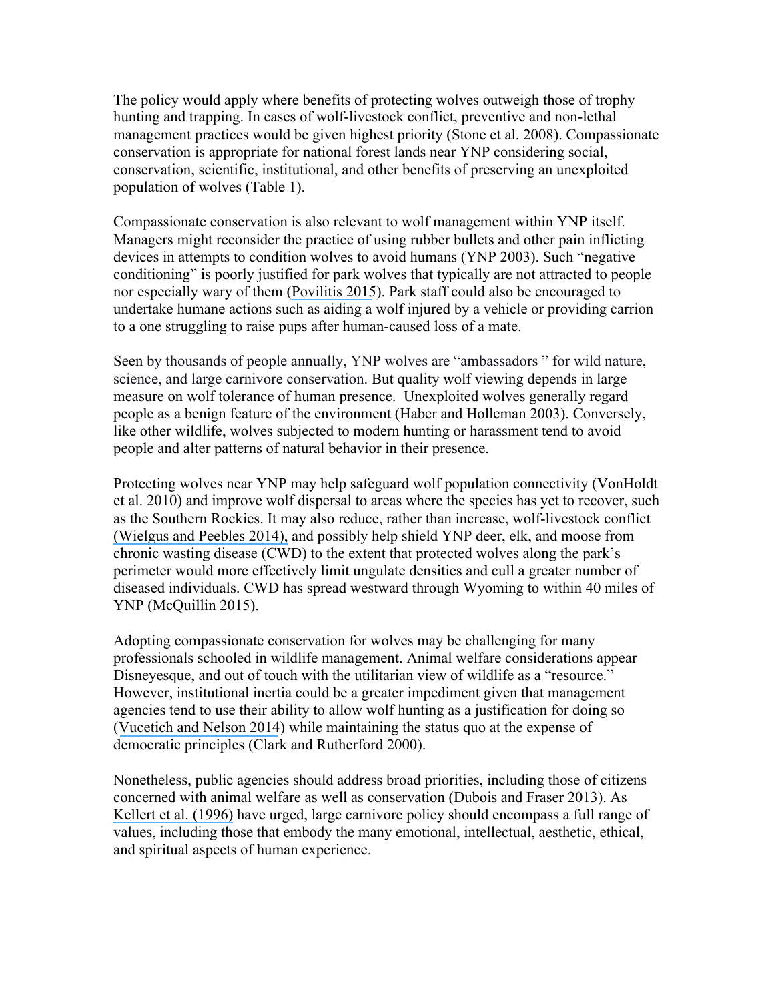The policy would apply where benefits of protecting wolves outweigh those of trophy hunting and trapping. In cases of wolf-livestock conflict, preventive and non-lethal management practices would be given highest priority (Stone et al. 2008). Compassionate conservation is appropriate for national forest lands near YNP considering social, conservation, scientific, institutional, and other benefits of preserving an unexploited population of wolves (Table 1).

Compassionate conservation is also relevant to wolf management within YNP itself. Managers might reconsider the practice of using rubber bullets and other pain inflicting devices in attempts to condition wolves to avoid humans (YNP 2003). Such "negative conditioning" is poorly justified for park wolves that typically are not attracted to people nor especially wary of them ([Povilitis 2015](https://www.researchgate.net/publication/269411735_Preserving_a_Natural_Wolf_Population_in_Yellowstone_National_Park_USA?el=1_x_8&enrichId=rgreq-18731205485072df47b86e6c85b5153b-XXX&enrichSource=Y292ZXJQYWdlOzI4NDE5MDI0NjtBUzoyOTgwMDUwOTQ3ODA5MzRAMTQ0ODA2MTM1OTQyOA==)). Park staff could also be encouraged to undertake humane actions such as aiding a wolf injured by a vehicle or providing carrion to a one struggling to raise pups after human-caused loss of a mate.

Seen by thousands of people annually, YNP wolves are "ambassadors " for wild nature, science, and large carnivore conservation. But quality wolf viewing depends in large measure on wolf tolerance of human presence. Unexploited wolves generally regard people as a benign feature of the environment (Haber and Holleman 2003). Conversely, like other wildlife, wolves subjected to modern hunting or harassment tend to avoid people and alter patterns of natural behavior in their presence.

Protecting wolves near YNP may help safeguard wolf population connectivity (VonHoldt et al. 2010) and improve wolf dispersal to areas where the species has yet to recover, such as the Southern Rockies. It may also reduce, rather than increase, wolf-livestock conflict (Wielgus [and Peebles 2014\),](https://www.researchgate.net/publication/269097204_Effects_of_Wolf_Mortality_on_Livestock_Depredations?el=1_x_8&enrichId=rgreq-18731205485072df47b86e6c85b5153b-XXX&enrichSource=Y292ZXJQYWdlOzI4NDE5MDI0NjtBUzoyOTgwMDUwOTQ3ODA5MzRAMTQ0ODA2MTM1OTQyOA==) and possibly help shield YNP deer, elk, and moose from chronic wasting disease (CWD) to the extent that protected wolves along the park's perimeter would more effectively limit ungulate densities and cull a greater number of diseased individuals. CWD has spread westward through Wyoming to within 40 miles of YNP (McQuillin 2015).

Adopting compassionate conservation for wolves may be challenging for many professionals schooled in wildlife management. Animal welfare considerations appear Disneyesque, and out of touch with the utilitarian view of wildlife as a "resource." However, institutional inertia could be a greater impediment given that management agencies tend to use their ability to allow wolf hunting as a justification for doing so ([Vucetich and Nelson 2014](https://www.researchgate.net/publication/266541528_Wolf_Hunting_and_the_Ethics_of_Predator_Control?el=1_x_8&enrichId=rgreq-18731205485072df47b86e6c85b5153b-XXX&enrichSource=Y292ZXJQYWdlOzI4NDE5MDI0NjtBUzoyOTgwMDUwOTQ3ODA5MzRAMTQ0ODA2MTM1OTQyOA==)) while maintaining the status quo at the expense of democratic principles (Clark and Rutherford 2000).

Nonetheless, public agencies should address broad priorities, including those of citizens concerned with animal welfare as well as conservation (Dubois and Fraser 2013). As [Kellert et al. \(1996\)](https://www.researchgate.net/publication/227675917_Human_Culture_and_Large_Carnivore_Conservation_in_North_America?el=1_x_8&enrichId=rgreq-18731205485072df47b86e6c85b5153b-XXX&enrichSource=Y292ZXJQYWdlOzI4NDE5MDI0NjtBUzoyOTgwMDUwOTQ3ODA5MzRAMTQ0ODA2MTM1OTQyOA==) have urged, large carnivore policy should encompass a full range of values, including those that embody the many emotional, intellectual, aesthetic, ethical, and spiritual aspects of human experience.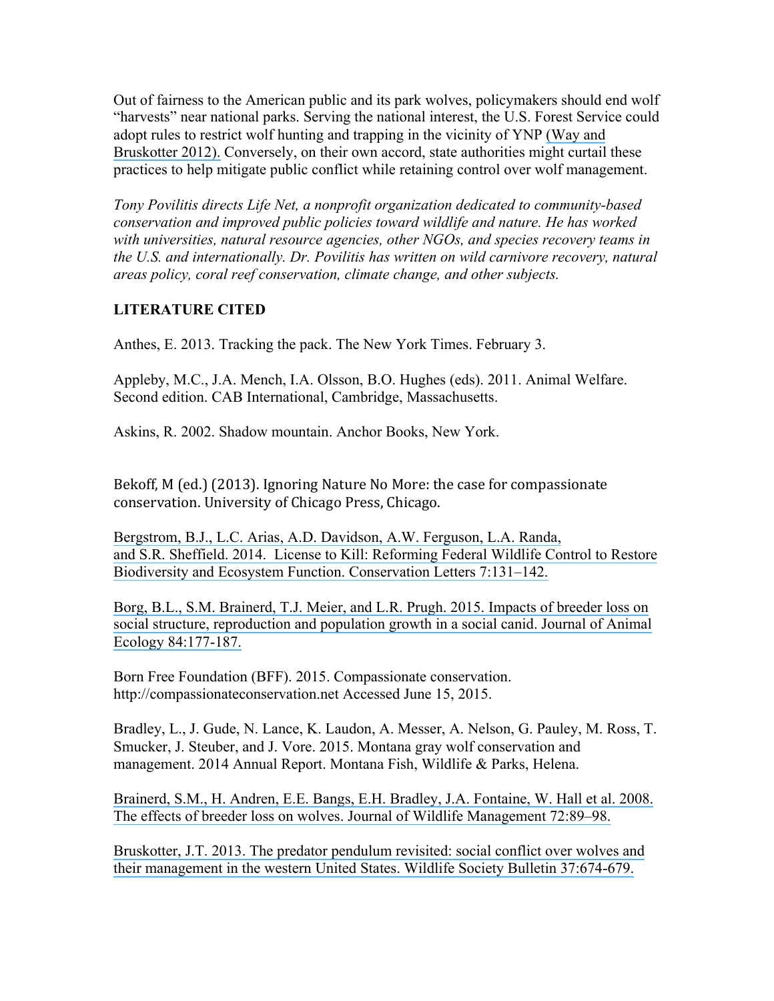Out of fairness to the American public and its park wolves, policymakers should end wolf "harvests" near national parks. Serving the national interest, the U.S. Forest Service could adopt rules to restrict wolf hunting and trapping in the vicinity of YNP [\(Way and](https://www.researchgate.net/publication/227760132_Additional_considerations_for_gray_wolf_management_after_their_removal_from_Endangered_Species_Act_protection?el=1_x_8&enrichId=rgreq-18731205485072df47b86e6c85b5153b-XXX&enrichSource=Y292ZXJQYWdlOzI4NDE5MDI0NjtBUzoyOTgwMDUwOTQ3ODA5MzRAMTQ0ODA2MTM1OTQyOA==) [Bruskotter 2012\).](https://www.researchgate.net/publication/227760132_Additional_considerations_for_gray_wolf_management_after_their_removal_from_Endangered_Species_Act_protection?el=1_x_8&enrichId=rgreq-18731205485072df47b86e6c85b5153b-XXX&enrichSource=Y292ZXJQYWdlOzI4NDE5MDI0NjtBUzoyOTgwMDUwOTQ3ODA5MzRAMTQ0ODA2MTM1OTQyOA==) Conversely, on their own accord, state authorities might curtail these practices to help mitigate public conflict while retaining control over wolf management.

*Tony Povilitis directs Life Net, a nonprofit organization dedicated to community-based conservation and improved public policies toward wildlife and nature. He has worked with universities, natural resource agencies, other NGOs, and species recovery teams in the U.S. and internationally. Dr. Povilitis has written on wild carnivore recovery, natural areas policy, coral reef conservation, climate change, and other subjects.*

# **LITERATURE CITED**

Anthes, E. 2013. Tracking the pack. The New York Times. February 3.

Appleby, M.C., J.A. Mench, I.A. Olsson, B.O. Hughes (eds). 2011. Animal Welfare. Second edition. CAB International, Cambridge, Massachusetts.

Askins, R. 2002. Shadow mountain. Anchor Books, New York.

Bekoff, M (ed.) (2013). Ignoring Nature No More: the case for compassionate conservation. University of Chicago Press, Chicago.

[Bergstrom, B.J., L.C. Arias, A.D. Davidson, A.W. Ferguson, L.A. Randa,](https://www.researchgate.net/publication/249007704_License_to_Kill_Reforming_Federal_Wildlife_Control_to_Restore_Biodiversity_and_Ecosystem_Function?el=1_x_8&enrichId=rgreq-18731205485072df47b86e6c85b5153b-XXX&enrichSource=Y292ZXJQYWdlOzI4NDE5MDI0NjtBUzoyOTgwMDUwOTQ3ODA5MzRAMTQ0ODA2MTM1OTQyOA==) [and S.R. Sheffield. 2014. License to Kill: Reforming Federal Wildlife Control to Restore](https://www.researchgate.net/publication/249007704_License_to_Kill_Reforming_Federal_Wildlife_Control_to_Restore_Biodiversity_and_Ecosystem_Function?el=1_x_8&enrichId=rgreq-18731205485072df47b86e6c85b5153b-XXX&enrichSource=Y292ZXJQYWdlOzI4NDE5MDI0NjtBUzoyOTgwMDUwOTQ3ODA5MzRAMTQ0ODA2MTM1OTQyOA==) [Biodiversity and Ecosystem Function.](https://www.researchgate.net/publication/249007704_License_to_Kill_Reforming_Federal_Wildlife_Control_to_Restore_Biodiversity_and_Ecosystem_Function?el=1_x_8&enrichId=rgreq-18731205485072df47b86e6c85b5153b-XXX&enrichSource=Y292ZXJQYWdlOzI4NDE5MDI0NjtBUzoyOTgwMDUwOTQ3ODA5MzRAMTQ0ODA2MTM1OTQyOA==) Conservation Letters 7:131–142.

[Borg, B.L., S.M. Brainerd, T.J. Meier, and L.R. Prugh. 2015. Impacts of breeder loss on](https://www.researchgate.net/publication/263701644_Impacts_of_breeder_loss_on_social_structure_reproduction_and_population_growth_in_a_social_canid?el=1_x_8&enrichId=rgreq-18731205485072df47b86e6c85b5153b-XXX&enrichSource=Y292ZXJQYWdlOzI4NDE5MDI0NjtBUzoyOTgwMDUwOTQ3ODA5MzRAMTQ0ODA2MTM1OTQyOA==) [social structure, reproduction and population growth in a social canid.](https://www.researchgate.net/publication/263701644_Impacts_of_breeder_loss_on_social_structure_reproduction_and_population_growth_in_a_social_canid?el=1_x_8&enrichId=rgreq-18731205485072df47b86e6c85b5153b-XXX&enrichSource=Y292ZXJQYWdlOzI4NDE5MDI0NjtBUzoyOTgwMDUwOTQ3ODA5MzRAMTQ0ODA2MTM1OTQyOA==) Journal of Animal [Ecology 84:177-187.](https://www.researchgate.net/publication/263701644_Impacts_of_breeder_loss_on_social_structure_reproduction_and_population_growth_in_a_social_canid?el=1_x_8&enrichId=rgreq-18731205485072df47b86e6c85b5153b-XXX&enrichSource=Y292ZXJQYWdlOzI4NDE5MDI0NjtBUzoyOTgwMDUwOTQ3ODA5MzRAMTQ0ODA2MTM1OTQyOA==)

Born Free Foundation (BFF). 2015. Compassionate conservation. http://compassionateconservation.net Accessed June 15, 2015.

Bradley, L., J. Gude, N. Lance, K. Laudon, A. Messer, A. Nelson, G. Pauley, M. Ross, T. Smucker, J. Steuber, and J. Vore. 2015. Montana gray wolf conservation and management. 2014 Annual Report. Montana Fish, Wildlife & Parks, Helena.

[Brainerd, S.M., H. Andren, E.E. Bangs, E.H. Bradley, J.A. Fontaine, W. Hall et al. 2008.](https://www.researchgate.net/publication/227823841_The_Effects_of_Breeder_Loss_on_Wolves?el=1_x_8&enrichId=rgreq-18731205485072df47b86e6c85b5153b-XXX&enrichSource=Y292ZXJQYWdlOzI4NDE5MDI0NjtBUzoyOTgwMDUwOTQ3ODA5MzRAMTQ0ODA2MTM1OTQyOA==) [The effects of breeder loss on wolves. Journal of](https://www.researchgate.net/publication/227823841_The_Effects_of_Breeder_Loss_on_Wolves?el=1_x_8&enrichId=rgreq-18731205485072df47b86e6c85b5153b-XXX&enrichSource=Y292ZXJQYWdlOzI4NDE5MDI0NjtBUzoyOTgwMDUwOTQ3ODA5MzRAMTQ0ODA2MTM1OTQyOA==) Wildlife Management 72:89–98.

[Bruskotter, J.T. 2013. The predator pendulum revisited: social conflict over wolves and](https://www.researchgate.net/publication/249838088_The_Predator_Pendulum_Revisited_Social_Conflict_over_Wolves_and_Their_Management_in_the_Western_United_States?el=1_x_8&enrichId=rgreq-18731205485072df47b86e6c85b5153b-XXX&enrichSource=Y292ZXJQYWdlOzI4NDE5MDI0NjtBUzoyOTgwMDUwOTQ3ODA5MzRAMTQ0ODA2MTM1OTQyOA==) [their management in the western United States. Wildlife Society Bulletin 37:674-679.](https://www.researchgate.net/publication/249838088_The_Predator_Pendulum_Revisited_Social_Conflict_over_Wolves_and_Their_Management_in_the_Western_United_States?el=1_x_8&enrichId=rgreq-18731205485072df47b86e6c85b5153b-XXX&enrichSource=Y292ZXJQYWdlOzI4NDE5MDI0NjtBUzoyOTgwMDUwOTQ3ODA5MzRAMTQ0ODA2MTM1OTQyOA==)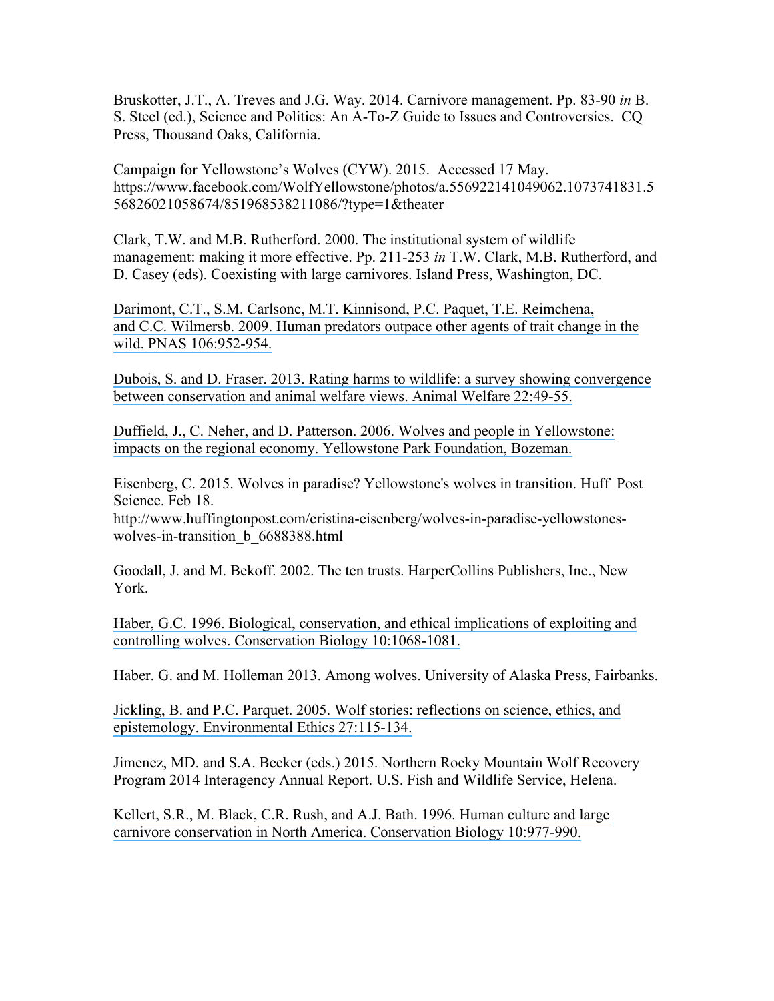Bruskotter, J.T., A. Treves and J.G. Way. 2014. Carnivore management. Pp. 83-90 *in* B. S. Steel (ed.), Science and Politics: An A-To-Z Guide to Issues and Controversies. CQ Press, Thousand Oaks, California.

Campaign for Yellowstone's Wolves (CYW). 2015. Accessed 17 May. https://www.facebook.com/WolfYellowstone/photos/a.556922141049062.1073741831.5 56826021058674/851968538211086/?type=1&theater

Clark, T.W. and M.B. Rutherford. 2000. The institutional system of wildlife management: making it more effective. Pp. 211-253 *in* T.W. Clark, M.B. Rutherford, and D. Casey (eds). Coexisting with large carnivores. Island Press, Washington, DC.

[Darimont, C.T., S.M. Carlsonc, M.T. Kinnisond, P.C. Paquet, T.E. Reimchena,](https://www.researchgate.net/publication/23782652_Human_predators_outpace_other_agents_of_trait_change?el=1_x_8&enrichId=rgreq-18731205485072df47b86e6c85b5153b-XXX&enrichSource=Y292ZXJQYWdlOzI4NDE5MDI0NjtBUzoyOTgwMDUwOTQ3ODA5MzRAMTQ0ODA2MTM1OTQyOA==) [and C.C. Wilmersb. 2009. Human predators outpace other agents of trait](https://www.researchgate.net/publication/23782652_Human_predators_outpace_other_agents_of_trait_change?el=1_x_8&enrichId=rgreq-18731205485072df47b86e6c85b5153b-XXX&enrichSource=Y292ZXJQYWdlOzI4NDE5MDI0NjtBUzoyOTgwMDUwOTQ3ODA5MzRAMTQ0ODA2MTM1OTQyOA==) change in the wild. [PNAS 106:952-954.](https://www.researchgate.net/publication/23782652_Human_predators_outpace_other_agents_of_trait_change?el=1_x_8&enrichId=rgreq-18731205485072df47b86e6c85b5153b-XXX&enrichSource=Y292ZXJQYWdlOzI4NDE5MDI0NjtBUzoyOTgwMDUwOTQ3ODA5MzRAMTQ0ODA2MTM1OTQyOA==)

[Dubois, S. and D. Fraser. 2013. Rating harms to wildlife:](https://www.researchgate.net/publication/263241994_Rating_harms_to_wildlife_A_survey_showing_convergence_between_conservation_and_animal_welfare_views?el=1_x_8&enrichId=rgreq-18731205485072df47b86e6c85b5153b-XXX&enrichSource=Y292ZXJQYWdlOzI4NDE5MDI0NjtBUzoyOTgwMDUwOTQ3ODA5MzRAMTQ0ODA2MTM1OTQyOA==) a survey showing convergence [between conservation and animal welfare views. Animal Welfare 22:49-55.](https://www.researchgate.net/publication/263241994_Rating_harms_to_wildlife_A_survey_showing_convergence_between_conservation_and_animal_welfare_views?el=1_x_8&enrichId=rgreq-18731205485072df47b86e6c85b5153b-XXX&enrichSource=Y292ZXJQYWdlOzI4NDE5MDI0NjtBUzoyOTgwMDUwOTQ3ODA5MzRAMTQ0ODA2MTM1OTQyOA==)

[Duffield, J., C. Neher, and D. Patterson. 2006. Wolves and people in Yellowstone:](https://www.researchgate.net/publication/242507909_Wolves_and_People_in_Yellowstone_Impacts_on_the_Regional_Economy?el=1_x_8&enrichId=rgreq-18731205485072df47b86e6c85b5153b-XXX&enrichSource=Y292ZXJQYWdlOzI4NDE5MDI0NjtBUzoyOTgwMDUwOTQ3ODA5MzRAMTQ0ODA2MTM1OTQyOA==) [impacts on the regional economy. Yellowstone Park Foundation, Bozeman.](https://www.researchgate.net/publication/242507909_Wolves_and_People_in_Yellowstone_Impacts_on_the_Regional_Economy?el=1_x_8&enrichId=rgreq-18731205485072df47b86e6c85b5153b-XXX&enrichSource=Y292ZXJQYWdlOzI4NDE5MDI0NjtBUzoyOTgwMDUwOTQ3ODA5MzRAMTQ0ODA2MTM1OTQyOA==)

Eisenberg, C. 2015. Wolves in paradise? Yellowstone's wolves in transition. Huff Post Science. Feb 18.

http://www.huffingtonpost.com/cristina-eisenberg/wolves-in-paradise-yellowstoneswolves-in-transition\_b\_6688388.html

Goodall, J. and M. Bekoff. 2002. The ten trusts. HarperCollins Publishers, Inc., New York.

[Haber, G.C. 1996. Biological, conservation, and ethical implications of exploiting and](https://www.researchgate.net/publication/227687063_Biological_Conservation_and_Ethical_Implications_of_Exploiting_and_Controlling_Wolves?el=1_x_8&enrichId=rgreq-18731205485072df47b86e6c85b5153b-XXX&enrichSource=Y292ZXJQYWdlOzI4NDE5MDI0NjtBUzoyOTgwMDUwOTQ3ODA5MzRAMTQ0ODA2MTM1OTQyOA==)  [controlling wolves. Conservation Biology](https://www.researchgate.net/publication/227687063_Biological_Conservation_and_Ethical_Implications_of_Exploiting_and_Controlling_Wolves?el=1_x_8&enrichId=rgreq-18731205485072df47b86e6c85b5153b-XXX&enrichSource=Y292ZXJQYWdlOzI4NDE5MDI0NjtBUzoyOTgwMDUwOTQ3ODA5MzRAMTQ0ODA2MTM1OTQyOA==) 10:1068-1081.

Haber. G. and M. Holleman 2013. Among wolves. University of Alaska Press, Fairbanks.

Jickling, B. [and P.C. Parquet. 2005. Wolf stories: reflections on science,](https://www.researchgate.net/publication/228423308_Wolf_stories_Reflections_on_science_ethics_and_epistemology?el=1_x_8&enrichId=rgreq-18731205485072df47b86e6c85b5153b-XXX&enrichSource=Y292ZXJQYWdlOzI4NDE5MDI0NjtBUzoyOTgwMDUwOTQ3ODA5MzRAMTQ0ODA2MTM1OTQyOA==) ethics, and [epistemology. Environmental Ethics 27:115-134.](https://www.researchgate.net/publication/228423308_Wolf_stories_Reflections_on_science_ethics_and_epistemology?el=1_x_8&enrichId=rgreq-18731205485072df47b86e6c85b5153b-XXX&enrichSource=Y292ZXJQYWdlOzI4NDE5MDI0NjtBUzoyOTgwMDUwOTQ3ODA5MzRAMTQ0ODA2MTM1OTQyOA==)

Jimenez, MD. and S.A. Becker (eds.) 2015. Northern Rocky Mountain Wolf Recovery Program 2014 Interagency Annual Report. U.S. Fish and Wildlife Service, Helena.

[Kellert, S.R., M. Black, C.R. Rush, and A.J. Bath. 1996. Human culture and large](https://www.researchgate.net/publication/227675917_Human_Culture_and_Large_Carnivore_Conservation_in_North_America?el=1_x_8&enrichId=rgreq-18731205485072df47b86e6c85b5153b-XXX&enrichSource=Y292ZXJQYWdlOzI4NDE5MDI0NjtBUzoyOTgwMDUwOTQ3ODA5MzRAMTQ0ODA2MTM1OTQyOA==) carnivore conservation in [North America. Conservation Biology 10:977-990.](https://www.researchgate.net/publication/227675917_Human_Culture_and_Large_Carnivore_Conservation_in_North_America?el=1_x_8&enrichId=rgreq-18731205485072df47b86e6c85b5153b-XXX&enrichSource=Y292ZXJQYWdlOzI4NDE5MDI0NjtBUzoyOTgwMDUwOTQ3ODA5MzRAMTQ0ODA2MTM1OTQyOA==)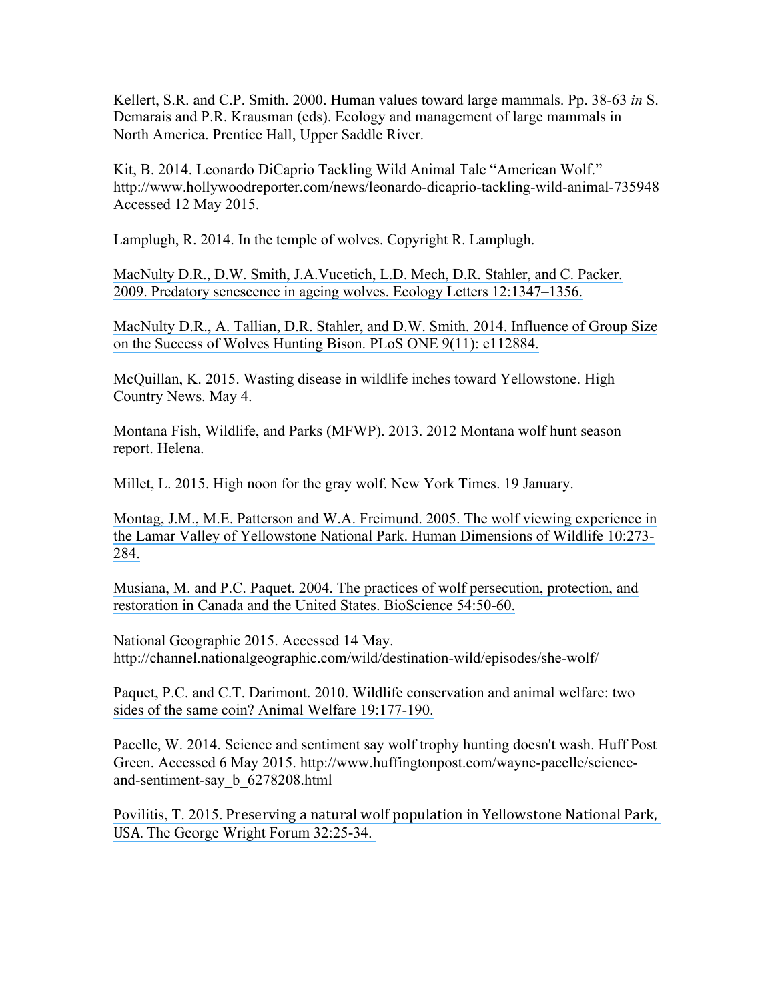Kellert, S.R. and C.P. Smith. 2000. Human values toward large mammals. Pp. 38-63 *in* S. Demarais and P.R. Krausman (eds). Ecology and management of large mammals in North America. Prentice Hall, Upper Saddle River.

Kit, B. 2014. Leonardo DiCaprio Tackling Wild Animal Tale "American Wolf." http://www.hollywoodreporter.com/news/leonardo-dicaprio-tackling-wild-animal-735948 Accessed 12 May 2015.

Lamplugh, R. 2014. In the temple of wolves. Copyright R. Lamplugh.

[MacNulty D.R., D.W. Smith, J.A.Vucetich, L.D. Mech, D.R. Stahler, and C. Packer.](https://www.researchgate.net/publication/26837658_Predatory_senescence_in_ageing_wolves?el=1_x_8&enrichId=rgreq-18731205485072df47b86e6c85b5153b-XXX&enrichSource=Y292ZXJQYWdlOzI4NDE5MDI0NjtBUzoyOTgwMDUwOTQ3ODA5MzRAMTQ0ODA2MTM1OTQyOA==)  [2009. Predatory senescence in ageing wolves. Ecology Letters 12:1347–1356.](https://www.researchgate.net/publication/26837658_Predatory_senescence_in_ageing_wolves?el=1_x_8&enrichId=rgreq-18731205485072df47b86e6c85b5153b-XXX&enrichSource=Y292ZXJQYWdlOzI4NDE5MDI0NjtBUzoyOTgwMDUwOTQ3ODA5MzRAMTQ0ODA2MTM1OTQyOA==)

[MacNulty D.R., A. Tallian, D.R. Stahler, and D.W. Smith. 2014.](https://www.researchgate.net/publication/268229126_Influence_of_Group_Size_on_the_Success_of_Wolves_Hunting_Bison?el=1_x_8&enrichId=rgreq-18731205485072df47b86e6c85b5153b-XXX&enrichSource=Y292ZXJQYWdlOzI4NDE5MDI0NjtBUzoyOTgwMDUwOTQ3ODA5MzRAMTQ0ODA2MTM1OTQyOA==) Influence of Group Size [on the Success of Wolves Hunting Bison. PLoS ONE 9\(11\): e112884.](https://www.researchgate.net/publication/268229126_Influence_of_Group_Size_on_the_Success_of_Wolves_Hunting_Bison?el=1_x_8&enrichId=rgreq-18731205485072df47b86e6c85b5153b-XXX&enrichSource=Y292ZXJQYWdlOzI4NDE5MDI0NjtBUzoyOTgwMDUwOTQ3ODA5MzRAMTQ0ODA2MTM1OTQyOA==) 

McQuillan, K. 2015. Wasting disease in wildlife inches toward Yellowstone. High Country News. May 4.

Montana Fish, Wildlife, and Parks (MFWP). 2013. 2012 Montana wolf hunt season report. Helena.

Millet, L. 2015. High noon for the gray wolf. New York Times. 19 January.

[Montag, J.M., M.E. Patterson and W.A. Freimund. 2005.](https://www.researchgate.net/publication/249007633_The_Wolf_Viewing_Experience_in_the_Lamar_Valley_of_Yellowstone_National_Park?el=1_x_8&enrichId=rgreq-18731205485072df47b86e6c85b5153b-XXX&enrichSource=Y292ZXJQYWdlOzI4NDE5MDI0NjtBUzoyOTgwMDUwOTQ3ODA5MzRAMTQ0ODA2MTM1OTQyOA==) The wolf viewing experience in [the Lamar Valley of Yellowstone National Park. Human Dimensions of Wildlife](https://www.researchgate.net/publication/249007633_The_Wolf_Viewing_Experience_in_the_Lamar_Valley_of_Yellowstone_National_Park?el=1_x_8&enrichId=rgreq-18731205485072df47b86e6c85b5153b-XXX&enrichSource=Y292ZXJQYWdlOzI4NDE5MDI0NjtBUzoyOTgwMDUwOTQ3ODA5MzRAMTQ0ODA2MTM1OTQyOA==) 10:273- [284.](https://www.researchgate.net/publication/249007633_The_Wolf_Viewing_Experience_in_the_Lamar_Valley_of_Yellowstone_National_Park?el=1_x_8&enrichId=rgreq-18731205485072df47b86e6c85b5153b-XXX&enrichSource=Y292ZXJQYWdlOzI4NDE5MDI0NjtBUzoyOTgwMDUwOTQ3ODA5MzRAMTQ0ODA2MTM1OTQyOA==)

Musiana, [M. and P.C. Paquet. 2004. The practices of wolf persecution, protection, and](https://www.researchgate.net/publication/280905586_The_Practices_of_Wolf_Persecution_Protection_and_Restoration_in_Canada_and_the_United_States?el=1_x_8&enrichId=rgreq-18731205485072df47b86e6c85b5153b-XXX&enrichSource=Y292ZXJQYWdlOzI4NDE5MDI0NjtBUzoyOTgwMDUwOTQ3ODA5MzRAMTQ0ODA2MTM1OTQyOA==) [restoration in Canada and the United States.](https://www.researchgate.net/publication/280905586_The_Practices_of_Wolf_Persecution_Protection_and_Restoration_in_Canada_and_the_United_States?el=1_x_8&enrichId=rgreq-18731205485072df47b86e6c85b5153b-XXX&enrichSource=Y292ZXJQYWdlOzI4NDE5MDI0NjtBUzoyOTgwMDUwOTQ3ODA5MzRAMTQ0ODA2MTM1OTQyOA==) BioScience 54:50-60.

National Geographic 2015. Accessed 14 May. http://channel.nationalgeographic.com/wild/destination-wild/episodes/she-wolf/

[Paquet, P.C. and C.T. Darimont. 2010. Wildlife conservation and animal welfare: two](https://www.researchgate.net/publication/228621252_Wildlife_conservation_and_animal_welfare_Two_sides_of_the_same_coin?el=1_x_8&enrichId=rgreq-18731205485072df47b86e6c85b5153b-XXX&enrichSource=Y292ZXJQYWdlOzI4NDE5MDI0NjtBUzoyOTgwMDUwOTQ3ODA5MzRAMTQ0ODA2MTM1OTQyOA==) [sides of the same coin? Animal Welfare 19:177-190.](https://www.researchgate.net/publication/228621252_Wildlife_conservation_and_animal_welfare_Two_sides_of_the_same_coin?el=1_x_8&enrichId=rgreq-18731205485072df47b86e6c85b5153b-XXX&enrichSource=Y292ZXJQYWdlOzI4NDE5MDI0NjtBUzoyOTgwMDUwOTQ3ODA5MzRAMTQ0ODA2MTM1OTQyOA==)

Pacelle, W. 2014. Science and sentiment say wolf trophy hunting doesn't wash. Huff Post Green. Accessed 6 May 2015. http://www.huffingtonpost.com/wayne-pacelle/scienceand-sentiment-say\_b\_6278208.html

Povilitis, T. 2015. Preserving a natural wolf population in Yellowstone National Park, USA. [The George Wright Forum 32:25-34.](https://www.researchgate.net/publication/269411735_Preserving_a_Natural_Wolf_Population_in_Yellowstone_National_Park_USA?el=1_x_8&enrichId=rgreq-18731205485072df47b86e6c85b5153b-XXX&enrichSource=Y292ZXJQYWdlOzI4NDE5MDI0NjtBUzoyOTgwMDUwOTQ3ODA5MzRAMTQ0ODA2MTM1OTQyOA==)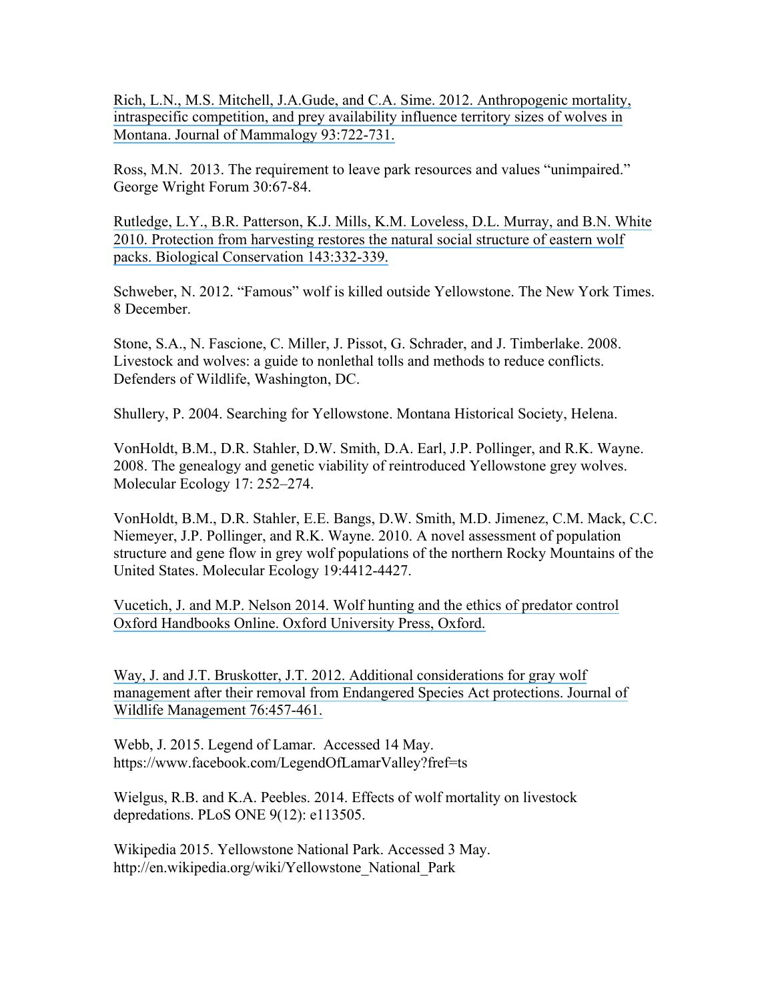[Rich, L.N., M.S. Mitchell, J.A.Gude, and C.A. Sime. 2012. Anthropogenic mortality,](https://www.researchgate.net/publication/259928270_Anthropogenic_mortality_intraspecific_competition_and_prey_availability_influence_territory_sizes_of_wolves_in_Montana?el=1_x_8&enrichId=rgreq-18731205485072df47b86e6c85b5153b-XXX&enrichSource=Y292ZXJQYWdlOzI4NDE5MDI0NjtBUzoyOTgwMDUwOTQ3ODA5MzRAMTQ0ODA2MTM1OTQyOA==)  [intraspecific competition, and prey availability influence territory sizes of wolves in](https://www.researchgate.net/publication/259928270_Anthropogenic_mortality_intraspecific_competition_and_prey_availability_influence_territory_sizes_of_wolves_in_Montana?el=1_x_8&enrichId=rgreq-18731205485072df47b86e6c85b5153b-XXX&enrichSource=Y292ZXJQYWdlOzI4NDE5MDI0NjtBUzoyOTgwMDUwOTQ3ODA5MzRAMTQ0ODA2MTM1OTQyOA==)  [Montana. Journal of Mammalogy 93:722-731.](https://www.researchgate.net/publication/259928270_Anthropogenic_mortality_intraspecific_competition_and_prey_availability_influence_territory_sizes_of_wolves_in_Montana?el=1_x_8&enrichId=rgreq-18731205485072df47b86e6c85b5153b-XXX&enrichSource=Y292ZXJQYWdlOzI4NDE5MDI0NjtBUzoyOTgwMDUwOTQ3ODA5MzRAMTQ0ODA2MTM1OTQyOA==)

Ross, M.N. 2013. The requirement to leave park resources and values "unimpaired." George Wright Forum 30:67-84.

[Rutledge, L.Y., B.R. Patterson, K.J. Mills, K.M. Loveless,](https://www.researchgate.net/publication/222046620_Protection_from_harvesting_restores_the_natural_social_structure_of_eastern_wolf_packs?el=1_x_8&enrichId=rgreq-18731205485072df47b86e6c85b5153b-XXX&enrichSource=Y292ZXJQYWdlOzI4NDE5MDI0NjtBUzoyOTgwMDUwOTQ3ODA5MzRAMTQ0ODA2MTM1OTQyOA==) D.L. Murray, and B.N. White [2010. Protection from harvesting restores the natural social structure](https://www.researchgate.net/publication/222046620_Protection_from_harvesting_restores_the_natural_social_structure_of_eastern_wolf_packs?el=1_x_8&enrichId=rgreq-18731205485072df47b86e6c85b5153b-XXX&enrichSource=Y292ZXJQYWdlOzI4NDE5MDI0NjtBUzoyOTgwMDUwOTQ3ODA5MzRAMTQ0ODA2MTM1OTQyOA==) of eastern wolf [packs. Biological Conservation 143:332-339.](https://www.researchgate.net/publication/222046620_Protection_from_harvesting_restores_the_natural_social_structure_of_eastern_wolf_packs?el=1_x_8&enrichId=rgreq-18731205485072df47b86e6c85b5153b-XXX&enrichSource=Y292ZXJQYWdlOzI4NDE5MDI0NjtBUzoyOTgwMDUwOTQ3ODA5MzRAMTQ0ODA2MTM1OTQyOA==)

Schweber, N. 2012. "Famous" wolf is killed outside Yellowstone. The New York Times. 8 December.

Stone, S.A., N. Fascione, C. Miller, J. Pissot, G. Schrader, and J. Timberlake. 2008. Livestock and wolves: a guide to nonlethal tolls and methods to reduce conflicts. Defenders of Wildlife, Washington, DC.

Shullery, P. 2004. Searching for Yellowstone. Montana Historical Society, Helena.

VonHoldt, B.M., D.R. Stahler, D.W. Smith, D.A. Earl, J.P. Pollinger, and R.K. Wayne. 2008. The genealogy and genetic viability of reintroduced Yellowstone grey wolves. Molecular Ecology 17: 252–274.

VonHoldt, B.M., D.R. Stahler, E.E. Bangs, D.W. Smith, M.D. Jimenez, C.M. Mack, C.C. Niemeyer, J.P. Pollinger, and R.K. Wayne. 2010. A novel assessment of population structure and gene flow in grey wolf populations of the northern Rocky Mountains of the United States. Molecular Ecology 19:4412-4427.

Vucetich, J. and M.P. Nelson 2014. [Wolf hunting and the ethics of predator control](https://www.researchgate.net/publication/266541528_Wolf_Hunting_and_the_Ethics_of_Predator_Control?el=1_x_8&enrichId=rgreq-18731205485072df47b86e6c85b5153b-XXX&enrichSource=Y292ZXJQYWdlOzI4NDE5MDI0NjtBUzoyOTgwMDUwOTQ3ODA5MzRAMTQ0ODA2MTM1OTQyOA==) [Oxford Handbooks Online. Oxford University Press, Oxford.](https://www.researchgate.net/publication/266541528_Wolf_Hunting_and_the_Ethics_of_Predator_Control?el=1_x_8&enrichId=rgreq-18731205485072df47b86e6c85b5153b-XXX&enrichSource=Y292ZXJQYWdlOzI4NDE5MDI0NjtBUzoyOTgwMDUwOTQ3ODA5MzRAMTQ0ODA2MTM1OTQyOA==)

[Way, J. and J.T. Bruskotter, J.T. 2012. Additional considerations for gray wolf](https://www.researchgate.net/publication/227760132_Additional_considerations_for_gray_wolf_management_after_their_removal_from_Endangered_Species_Act_protection?el=1_x_8&enrichId=rgreq-18731205485072df47b86e6c85b5153b-XXX&enrichSource=Y292ZXJQYWdlOzI4NDE5MDI0NjtBUzoyOTgwMDUwOTQ3ODA5MzRAMTQ0ODA2MTM1OTQyOA==) [management after their removal from Endangered Species Act protections. Journal of](https://www.researchgate.net/publication/227760132_Additional_considerations_for_gray_wolf_management_after_their_removal_from_Endangered_Species_Act_protection?el=1_x_8&enrichId=rgreq-18731205485072df47b86e6c85b5153b-XXX&enrichSource=Y292ZXJQYWdlOzI4NDE5MDI0NjtBUzoyOTgwMDUwOTQ3ODA5MzRAMTQ0ODA2MTM1OTQyOA==)  [Wildlife Management 76:457-461.](https://www.researchgate.net/publication/227760132_Additional_considerations_for_gray_wolf_management_after_their_removal_from_Endangered_Species_Act_protection?el=1_x_8&enrichId=rgreq-18731205485072df47b86e6c85b5153b-XXX&enrichSource=Y292ZXJQYWdlOzI4NDE5MDI0NjtBUzoyOTgwMDUwOTQ3ODA5MzRAMTQ0ODA2MTM1OTQyOA==)

Webb, J. 2015. Legend of Lamar. Accessed 14 May. https://www.facebook.com/LegendOfLamarValley?fref=ts

Wielgus, R.B. and K.A. Peebles. 2014. Effects of wolf mortality on livestock depredations. PLoS ONE 9(12): e113505.

Wikipedia 2015. Yellowstone National Park. Accessed 3 May. http://en.wikipedia.org/wiki/Yellowstone\_National\_Park